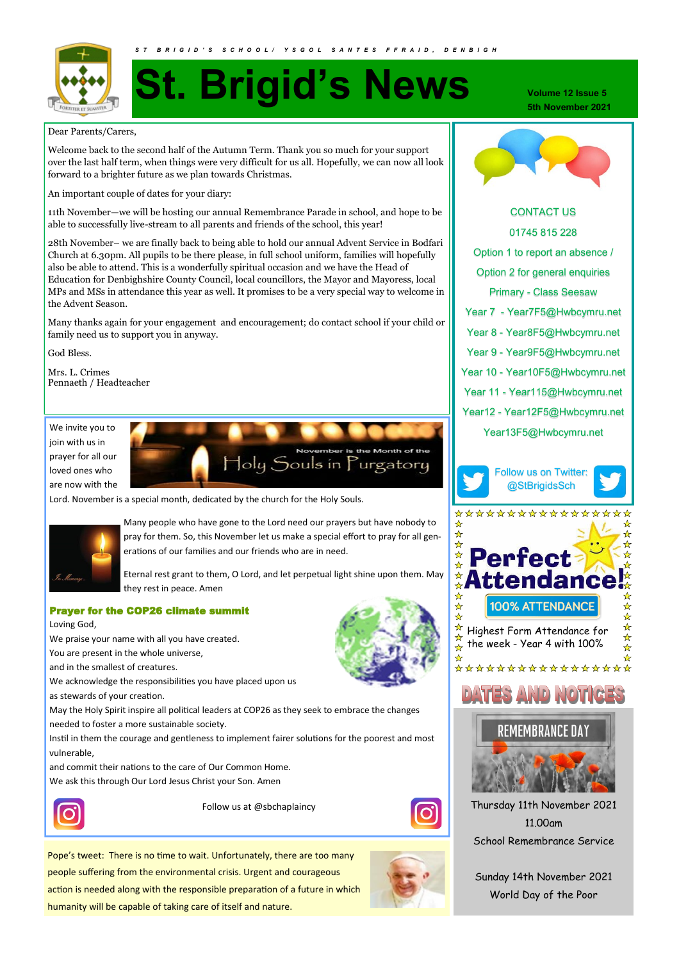

# **St. Brigid's News**

Dear Parents/Carers,

Welcome back to the second half of the Autumn Term. Thank you so much for your support over the last half term, when things were very difficult for us all. Hopefully, we can now all look forward to a brighter future as we plan towards Christmas.

An important couple of dates for your diary:

11th November—we will be hosting our annual Remembrance Parade in school, and hope to be able to successfully live-stream to all parents and friends of the school, this year!

28th November– we are finally back to being able to hold our annual Advent Service in Bodfari Church at 6.30pm. All pupils to be there please, in full school uniform, families will hopefully also be able to attend. This is a wonderfully spiritual occasion and we have the Head of Education for Denbighshire County Council, local councillors, the Mayor and Mayoress, local MPs and MSs in attendance this year as well. It promises to be a very special way to welcome in the Advent Season.

Many thanks again for your engagement and encouragement; do contact school if your child or family need us to support you in anyway.

God Bless.

Mrs. L. Crimes Pennaeth / Headteacher

We invite you to join with us in prayer for all our loved ones who are now with the



Lord. November is a special month, dedicated by the church for the Holy Souls.



Many people who have gone to the Lord need our prayers but have nobody to pray for them. So, this November let us make a special effort to pray for all generations of our families and our friends who are in need.

Eternal rest grant to them, O Lord, and let perpetual light shine upon them. May they rest in peace. Amen

# Prayer for the COP26 climate summit

Loving God,

We praise your name with all you have created.

You are present in the whole universe,

and in the smallest of creatures.

We acknowledge the responsibilities you have placed upon us

as stewards of your creation.

May the Holy Spirit inspire all political leaders at COP26 as they seek to embrace the changes needed to foster a more sustainable society.

Instil in them the courage and gentleness to implement fairer solutions for the poorest and most vulnerable,

and commit their nations to the care of Our Common Home.

We ask this through Our Lord Jesus Christ your Son. Amen



Follow us at @sbchaplaincy



**Volume 12 Issue 5 5th November 2021**



# CONTACT US 01745 815 228 Option 1 to report an absence / Option 2 for general enquiries Primary - Class Seesaw Year 7 - Year7F5@Hwbcymru.net Year 8 - Year8F5@Hwbcymru.net Year 9 - Year9F5@Hwbcymru.net Year 10 - Year10F5@Hwbcymru.net Year 11 - Year115@Hwbcymru.net Year12 - Year12F5@Hwbcymru.net Year13F5@Hwbcymru.net







# AND NOTIGE



Thursday 11th November 2021 11.00am School Remembrance Service

Sunday 14th November 2021 World Day of the Poor